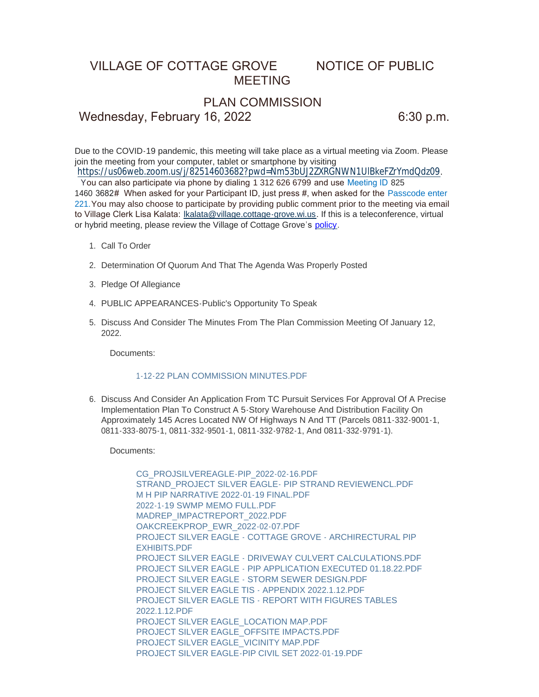## VILLAGE OF COTTAGE GROVE NOTICE OF PUBLIC MEETING

## PLAN COMMISSION

Wednesday, February 16, 2022 6:30 p.m.

Due to the COVID-19 pandemic, this meeting will take place as a virtual meeting via Zoom. Please join the meeting from your computer, tablet or smartphone by visiting

<https://us06web.zoom.us/j/82514603682?pwd=Nm53bUJ2ZXRGNWN1UlBkeFZrYmdQdz09>. You can also participate via phone by dialing 1 312 626 6799 and use Meeting ID 825

1460 3682# When asked for your Participant ID, just press #, when asked for the Passcode enter 221.You may also choose to participate by providing public comment prior to the meeting via email to Village Clerk Lisa Kalata: [lkalata@village.cottage-grove.wi.us.](mailto:lkalata@village.cottage-grove.wi.us) If this is a teleconference, virtual or hybrid meeting, please review the Village of Cottage Grove's [policy.](https://www.vi.cottagegrove.wi.gov/DocumentCenter/View/1850/Virtual-Hybrid-Tele-meeting-Policy-Final)

- 1. Call To Order
- 2. Determination Of Quorum And That The Agenda Was Properly Posted
- 3. Pledge Of Allegiance
- PUBLIC APPEARANCES-Public's Opportunity To Speak 4.
- 5. Discuss And Consider The Minutes From The Plan Commission Meeting Of January 12, 2022.

Documents:

## [1-12-22 PLAN COMMISSION MINUTES.PDF](https://www.vi.cottagegrove.wi.gov/AgendaCenter/ViewFile/Item/9536?fileID=18819)

6. Discuss And Consider An Application From TC Pursuit Services For Approval Of A Precise Implementation Plan To Construct A 5-Story Warehouse And Distribution Facility On Approximately 145 Acres Located NW Of Highways N And TT (Parcels 0811-332-9001-1, 0811-333-8075-1, 0811-332-9501-1, 0811-332-9782-1, And 0811-332-9791-1).

Documents:

[CG\\_PROJSILVEREAGLE-PIP\\_2022-02-16.PDF](https://www.vi.cottagegrove.wi.gov/AgendaCenter/ViewFile/Item/9543?fileID=18870) [STRAND\\_PROJECT SILVER EAGLE- PIP STRAND REVIEWENCL.PDF](https://www.vi.cottagegrove.wi.gov/AgendaCenter/ViewFile/Item/9543?fileID=18871) [M H PIP NARRATIVE 2022-01-19 FINAL.PDF](https://www.vi.cottagegrove.wi.gov/AgendaCenter/ViewFile/Item/9543?fileID=18872) [2022-1-19 SWMP MEMO FULL.PDF](https://www.vi.cottagegrove.wi.gov/AgendaCenter/ViewFile/Item/9543?fileID=18873) [MADREP\\_IMPACTREPORT\\_2022.PDF](https://www.vi.cottagegrove.wi.gov/AgendaCenter/ViewFile/Item/9543?fileID=18874) [OAKCREEKPROP\\_EWR\\_2022-02-07.PDF](https://www.vi.cottagegrove.wi.gov/AgendaCenter/ViewFile/Item/9543?fileID=18875) [PROJECT SILVER EAGLE - COTTAGE GROVE - ARCHIRECTURAL PIP](https://www.vi.cottagegrove.wi.gov/AgendaCenter/ViewFile/Item/9543?fileID=18876)  EXHIBITS.PDF [PROJECT SILVER EAGLE - DRIVEWAY CULVERT CALCULATIONS.PDF](https://www.vi.cottagegrove.wi.gov/AgendaCenter/ViewFile/Item/9543?fileID=18877) [PROJECT SILVER EAGLE - PIP APPLICATION EXECUTED 01.18.22.PDF](https://www.vi.cottagegrove.wi.gov/AgendaCenter/ViewFile/Item/9543?fileID=18878) [PROJECT SILVER EAGLE - STORM SEWER DESIGN.PDF](https://www.vi.cottagegrove.wi.gov/AgendaCenter/ViewFile/Item/9543?fileID=18879) [PROJECT SILVER EAGLE TIS - APPENDIX 2022.1.12.PDF](https://www.vi.cottagegrove.wi.gov/AgendaCenter/ViewFile/Item/9543?fileID=18880) [PROJECT SILVER EAGLE TIS - REPORT WITH FIGURES TABLES](https://www.vi.cottagegrove.wi.gov/AgendaCenter/ViewFile/Item/9543?fileID=18881)  2022.1.12.PDF [PROJECT SILVER EAGLE\\_LOCATION MAP.PDF](https://www.vi.cottagegrove.wi.gov/AgendaCenter/ViewFile/Item/9543?fileID=18882) [PROJECT SILVER EAGLE\\_OFFSITE IMPACTS.PDF](https://www.vi.cottagegrove.wi.gov/AgendaCenter/ViewFile/Item/9543?fileID=18883) [PROJECT SILVER EAGLE\\_VICINITY MAP.PDF](https://www.vi.cottagegrove.wi.gov/AgendaCenter/ViewFile/Item/9543?fileID=18884) [PROJECT SILVER EAGLE-PIP CIVIL SET 2022-01-19.PDF](https://www.vi.cottagegrove.wi.gov/AgendaCenter/ViewFile/Item/9543?fileID=18885)